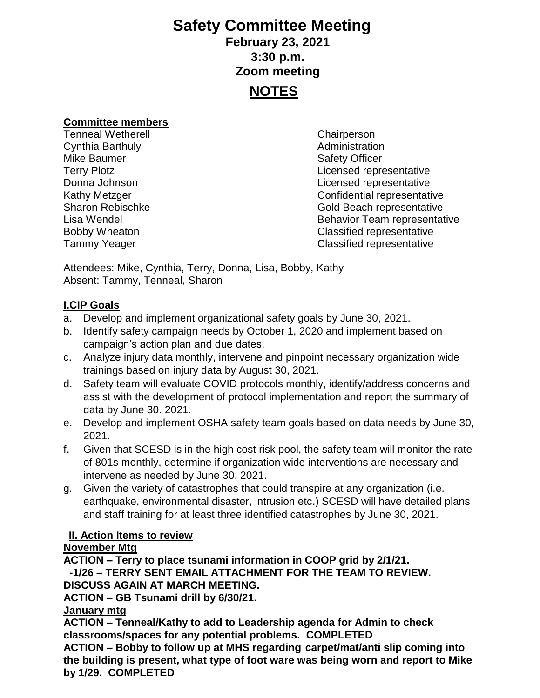# **Safety Committee Meeting February 23, 2021 3:30 p.m. Zoom meeting NOTES**

#### **Committee members**

Tenneal Wetherell Chairperson **Cynthia Barthuly Cynthia Barthuly Administration** Mike Baumer **Safety Officer** Safety Officer

Terry Plotz Licensed representative Donna Johnson Licensed representative Kathy Metzger **Confidential representative** Confidential representative Sharon Rebischke Gold Beach representative Lisa Wendel **Behavior Team representative** Bobby Wheaton Classified representative Tammy Yeager Classified representative

Attendees: Mike, Cynthia, Terry, Donna, Lisa, Bobby, Kathy Absent: Tammy, Tenneal, Sharon

#### **I.CIP Goals**

- a. Develop and implement organizational safety goals by June 30, 2021.
- b. Identify safety campaign needs by October 1, 2020 and implement based on campaign's action plan and due dates.
- c. Analyze injury data monthly, intervene and pinpoint necessary organization wide trainings based on injury data by August 30, 2021.
- d. Safety team will evaluate COVID protocols monthly, identify/address concerns and assist with the development of protocol implementation and report the summary of data by June 30. 2021.
- e. Develop and implement OSHA safety team goals based on data needs by June 30, 2021.
- f. Given that SCESD is in the high cost risk pool, the safety team will monitor the rate of 801s monthly, determine if organization wide interventions are necessary and intervene as needed by June 30, 2021.
- g. Given the variety of catastrophes that could transpire at any organization (i.e. earthquake, environmental disaster, intrusion etc.) SCESD will have detailed plans and staff training for at least three identified catastrophes by June 30, 2021.

### **II. Action Items to review**

### **November Mtg**

**ACTION – Terry to place tsunami information in COOP grid by 2/1/21. -1/26 – TERRY SENT EMAIL ATTACHMENT FOR THE TEAM TO REVIEW.** 

**DISCUSS AGAIN AT MARCH MEETING.**

**ACTION – GB Tsunami drill by 6/30/21.**

#### **January mtg**

**ACTION – Tenneal/Kathy to add to Leadership agenda for Admin to check classrooms/spaces for any potential problems. COMPLETED**

**ACTION – Bobby to follow up at MHS regarding carpet/mat/anti slip coming into the building is present, what type of foot ware was being worn and report to Mike by 1/29. COMPLETED**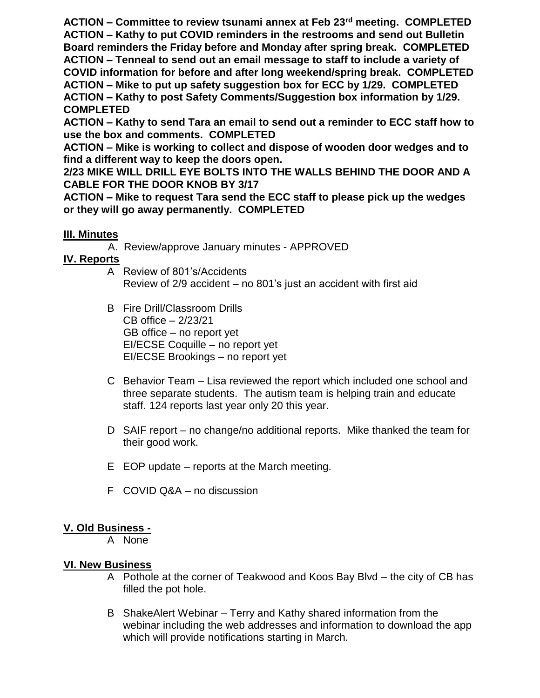**ACTION – Committee to review tsunami annex at Feb 23rd meeting. COMPLETED ACTION – Kathy to put COVID reminders in the restrooms and send out Bulletin Board reminders the Friday before and Monday after spring break. COMPLETED ACTION – Tenneal to send out an email message to staff to include a variety of COVID information for before and after long weekend/spring break. COMPLETED ACTION – Mike to put up safety suggestion box for ECC by 1/29. COMPLETED ACTION – Kathy to post Safety Comments/Suggestion box information by 1/29. COMPLETED**

**ACTION – Kathy to send Tara an email to send out a reminder to ECC staff how to use the box and comments. COMPLETED**

**ACTION – Mike is working to collect and dispose of wooden door wedges and to find a different way to keep the doors open.** 

**2/23 MIKE WILL DRILL EYE BOLTS INTO THE WALLS BEHIND THE DOOR AND A CABLE FOR THE DOOR KNOB BY 3/17**

**ACTION – Mike to request Tara send the ECC staff to please pick up the wedges or they will go away permanently. COMPLETED**

### **III. Minutes**

A. Review/approve January minutes - APPROVED

## **IV. Reports**

- A Review of 801's/Accidents Review of 2/9 accident – no 801's just an accident with first aid
- B Fire Drill/Classroom Drills CB office – 2/23/21 GB office – no report yet EI/ECSE Coquille – no report yet EI/ECSE Brookings – no report yet
- C Behavior Team Lisa reviewed the report which included one school and three separate students. The autism team is helping train and educate staff. 124 reports last year only 20 this year.
- D SAIF report no change/no additional reports. Mike thanked the team for their good work.
- E EOP update reports at the March meeting.
- F COVID Q&A no discussion

# **V. Old Business -**

A None

## **VI. New Business**

- A Pothole at the corner of Teakwood and Koos Bay Blvd the city of CB has filled the pot hole.
- B ShakeAlert Webinar Terry and Kathy shared information from the webinar including the web addresses and information to download the app which will provide notifications starting in March.